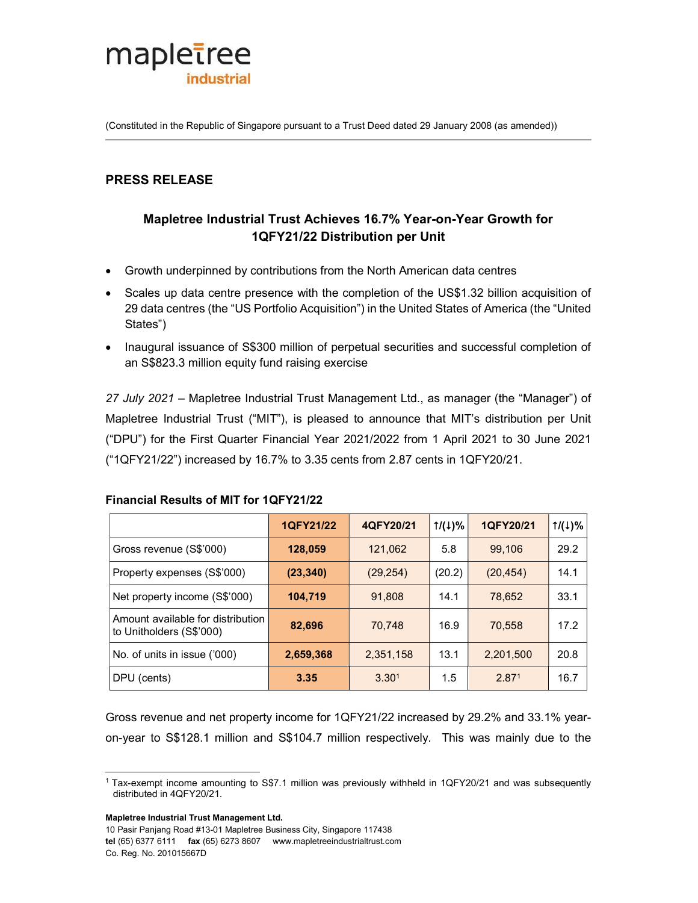

(Constituted in the Republic of Singapore pursuant to a Trust Deed dated 29 January 2008 (as amended))

# PRESS RELEASE

# Mapletree Industrial Trust Achieves 16.7% Year-on-Year Growth for 1QFY21/22 Distribution per Unit

- Growth underpinned by contributions from the North American data centres
- Scales up data centre presence with the completion of the US\$1.32 billion acquisition of 29 data centres (the "US Portfolio Acquisition") in the United States of America (the "United States")
- Inaugural issuance of S\$300 million of perpetual securities and successful completion of an S\$823.3 million equity fund raising exercise

27 July 2021 – Mapletree Industrial Trust Management Ltd., as manager (the "Manager") of Mapletree Industrial Trust ("MIT"), is pleased to announce that MIT's distribution per Unit ("DPU") for the First Quarter Financial Year 2021/2022 from 1 April 2021 to 30 June 2021 ("1QFY21/22") increased by 16.7% to 3.35 cents from 2.87 cents in 1QFY20/21.

#### Financial Results of MIT for 1QFY21/22

|                                                               | 1QFY21/22 | 4QFY20/21         | $1/(1)\%$ | 1QFY20/21         | $1/(1)\%$ |
|---------------------------------------------------------------|-----------|-------------------|-----------|-------------------|-----------|
| Gross revenue (S\$'000)                                       | 128,059   | 121,062           | 5.8       | 99.106            | 29.2      |
| Property expenses (S\$'000)                                   | (23, 340) | (29, 254)         | (20.2)    | (20, 454)         | 14.1      |
| Net property income (S\$'000)                                 | 104,719   | 91.808            | 14.1      | 78.652            | 33.1      |
| Amount available for distribution<br>to Unitholders (S\$'000) | 82,696    | 70.748            | 16.9      | 70.558            | 17.2      |
| No. of units in issue ('000)                                  | 2,659,368 | 2,351,158         | 13.1      | 2,201,500         | 20.8      |
| DPU (cents)                                                   | 3.35      | 3.30 <sup>1</sup> | 1.5       | 2.87 <sup>1</sup> | 16.7      |

Gross revenue and net property income for 1QFY21/22 increased by 29.2% and 33.1% yearon-year to S\$128.1 million and S\$104.7 million respectively. This was mainly due to the

Mapletree Industrial Trust Management Ltd.

i,

10 Pasir Panjang Road #13-01 Mapletree Business City, Singapore 117438 tel (65) 6377 6111 fax (65) 6273 8607 www.mapletreeindustrialtrust.com Co. Reg. No. 201015667D

<sup>1</sup> Tax-exempt income amounting to S\$7.1 million was previously withheld in 1QFY20/21 and was subsequently distributed in 4QFY20/21.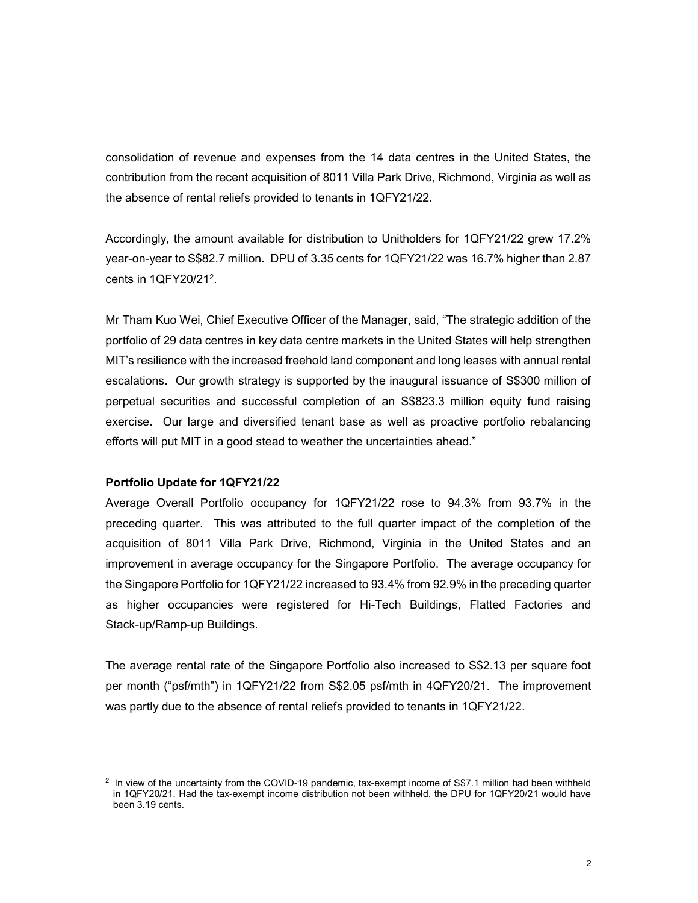consolidation of revenue and expenses from the 14 data centres in the United States, the contribution from the recent acquisition of 8011 Villa Park Drive, Richmond, Virginia as well as the absence of rental reliefs provided to tenants in 1QFY21/22.

Accordingly, the amount available for distribution to Unitholders for 1QFY21/22 grew 17.2% year-on-year to S\$82.7 million. DPU of 3.35 cents for 1QFY21/22 was 16.7% higher than 2.87 cents in 1QFY20/21<sup>2</sup>.

Mr Tham Kuo Wei, Chief Executive Officer of the Manager, said, "The strategic addition of the portfolio of 29 data centres in key data centre markets in the United States will help strengthen MIT's resilience with the increased freehold land component and long leases with annual rental escalations. Our growth strategy is supported by the inaugural issuance of S\$300 million of perpetual securities and successful completion of an S\$823.3 million equity fund raising exercise. Our large and diversified tenant base as well as proactive portfolio rebalancing efforts will put MIT in a good stead to weather the uncertainties ahead."

#### Portfolio Update for 1QFY21/22

i,

Average Overall Portfolio occupancy for 1QFY21/22 rose to 94.3% from 93.7% in the preceding quarter. This was attributed to the full quarter impact of the completion of the acquisition of 8011 Villa Park Drive, Richmond, Virginia in the United States and an improvement in average occupancy for the Singapore Portfolio. The average occupancy for the Singapore Portfolio for 1QFY21/22 increased to 93.4% from 92.9% in the preceding quarter as higher occupancies were registered for Hi-Tech Buildings, Flatted Factories and Stack-up/Ramp-up Buildings.

The average rental rate of the Singapore Portfolio also increased to S\$2.13 per square foot per month ("psf/mth") in 1QFY21/22 from S\$2.05 psf/mth in 4QFY20/21. The improvement was partly due to the absence of rental reliefs provided to tenants in 1QFY21/22.

<sup>2</sup> In view of the uncertainty from the COVID-19 pandemic, tax-exempt income of S\$7.1 million had been withheld in 1QFY20/21. Had the tax-exempt income distribution not been withheld, the DPU for 1QFY20/21 would have been 3.19 cents.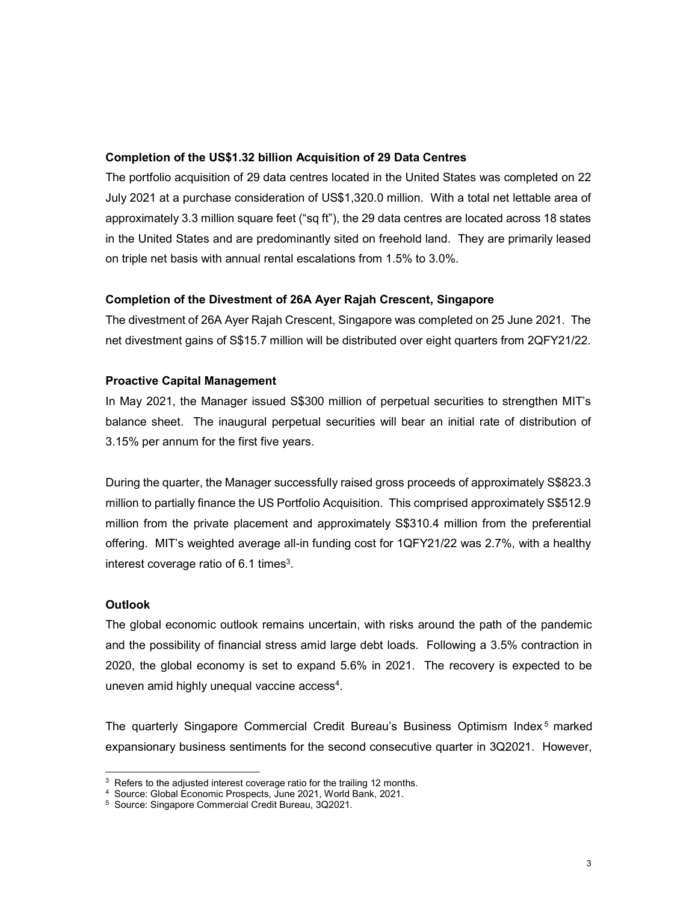#### Completion of the US\$1.32 billion Acquisition of 29 Data Centres

The portfolio acquisition of 29 data centres located in the United States was completed on 22 July 2021 at a purchase consideration of US\$1,320.0 million. With a total net lettable area of approximately 3.3 million square feet ("sq ft"), the 29 data centres are located across 18 states in the United States and are predominantly sited on freehold land. They are primarily leased on triple net basis with annual rental escalations from 1.5% to 3.0%.

#### Completion of the Divestment of 26A Ayer Rajah Crescent, Singapore

The divestment of 26A Ayer Rajah Crescent, Singapore was completed on 25 June 2021. The net divestment gains of S\$15.7 million will be distributed over eight quarters from 2QFY21/22.

#### Proactive Capital Management

In May 2021, the Manager issued S\$300 million of perpetual securities to strengthen MIT's balance sheet. The inaugural perpetual securities will bear an initial rate of distribution of 3.15% per annum for the first five years.

During the quarter, the Manager successfully raised gross proceeds of approximately S\$823.3 million to partially finance the US Portfolio Acquisition. This comprised approximately S\$512.9 million from the private placement and approximately S\$310.4 million from the preferential offering. MIT's weighted average all-in funding cost for 1QFY21/22 was 2.7%, with a healthy interest coverage ratio of 6.1 times $3$ .

#### **Outlook**

i,

The global economic outlook remains uncertain, with risks around the path of the pandemic and the possibility of financial stress amid large debt loads. Following a 3.5% contraction in 2020, the global economy is set to expand 5.6% in 2021. The recovery is expected to be uneven amid highly unequal vaccine access<sup>4</sup>.

The quarterly Singapore Commercial Credit Bureau's Business Optimism Index<sup>5</sup> marked expansionary business sentiments for the second consecutive quarter in 3Q2021. However,

<sup>&</sup>lt;sup>3</sup> Refers to the adjusted interest coverage ratio for the trailing 12 months.

<sup>4</sup> Source: Global Economic Prospects, June 2021, World Bank, 2021.

<sup>5</sup> Source: Singapore Commercial Credit Bureau, 3Q2021.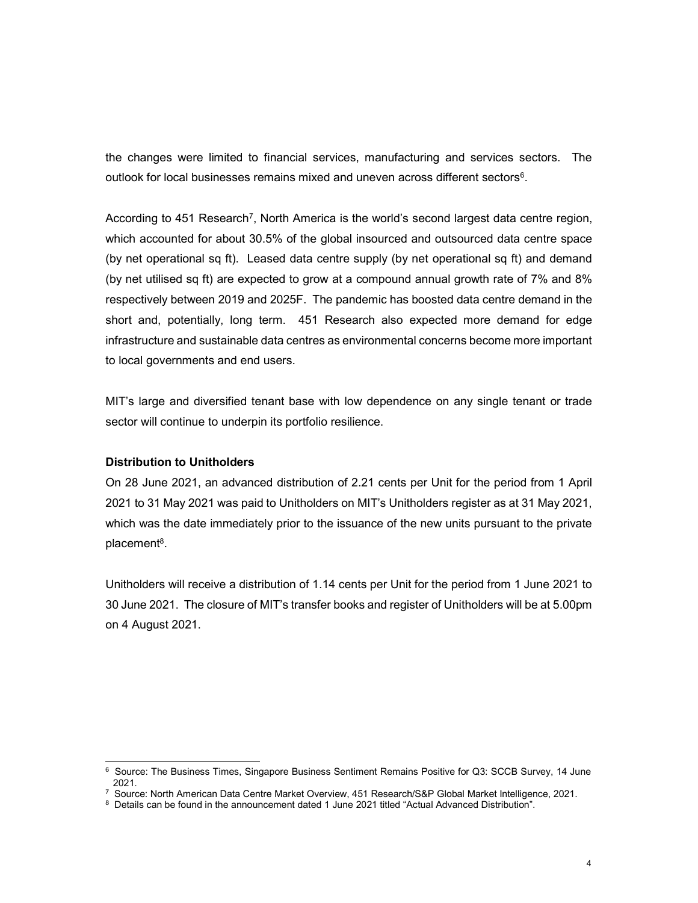the changes were limited to financial services, manufacturing and services sectors. The outlook for local businesses remains mixed and uneven across different sectors<sup>6</sup>.

According to 451 Research<sup>7</sup>, North America is the world's second largest data centre region, which accounted for about 30.5% of the global insourced and outsourced data centre space (by net operational sq ft). Leased data centre supply (by net operational sq ft) and demand (by net utilised sq ft) are expected to grow at a compound annual growth rate of 7% and 8% respectively between 2019 and 2025F. The pandemic has boosted data centre demand in the short and, potentially, long term. 451 Research also expected more demand for edge infrastructure and sustainable data centres as environmental concerns become more important to local governments and end users.

MIT's large and diversified tenant base with low dependence on any single tenant or trade sector will continue to underpin its portfolio resilience.

#### Distribution to Unitholders

On 28 June 2021, an advanced distribution of 2.21 cents per Unit for the period from 1 April 2021 to 31 May 2021 was paid to Unitholders on MIT's Unitholders register as at 31 May 2021, which was the date immediately prior to the issuance of the new units pursuant to the private placement<sup>8</sup>.

Unitholders will receive a distribution of 1.14 cents per Unit for the period from 1 June 2021 to 30 June 2021. The closure of MIT's transfer books and register of Unitholders will be at 5.00pm on 4 August 2021.

 6 Source: The Business Times, Singapore Business Sentiment Remains Positive for Q3: SCCB Survey, 14 June 2021.

<sup>7</sup> Source: North American Data Centre Market Overview, 451 Research/S&P Global Market Intelligence, 2021.

<sup>&</sup>lt;sup>8</sup> Details can be found in the announcement dated 1 June 2021 titled "Actual Advanced Distribution".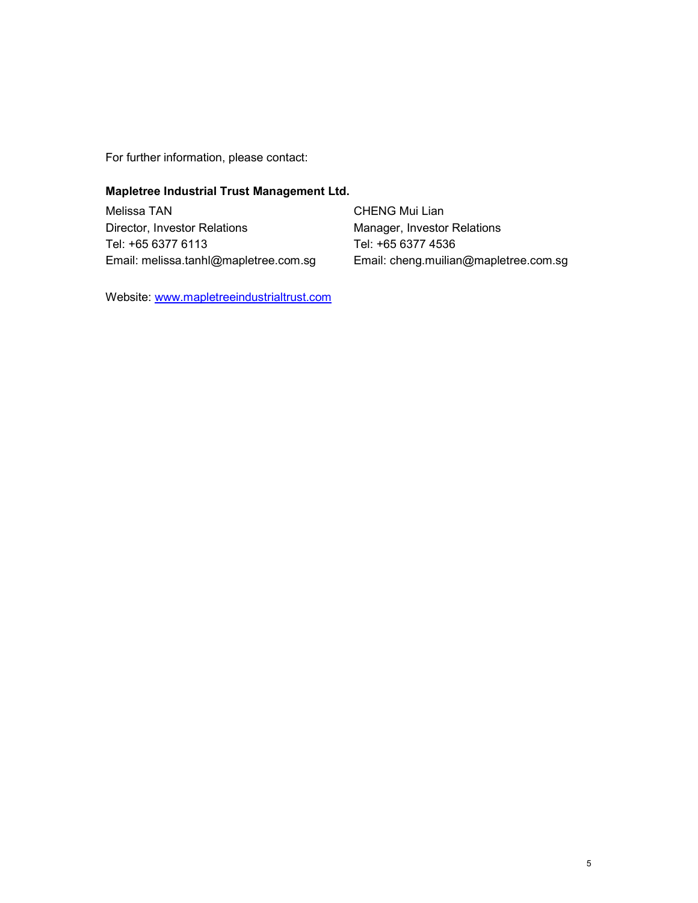For further information, please contact:

## Mapletree Industrial Trust Management Ltd.

Melissa TAN Director, Investor Relations Tel: +65 6377 6113 Email: melissa.tanhl@mapletree.com.sg CHENG Mui Lian Manager, Investor Relations Tel: +65 6377 4536 Email: cheng.muilian@mapletree.com.sg

Website: www.mapletreeindustrialtrust.com